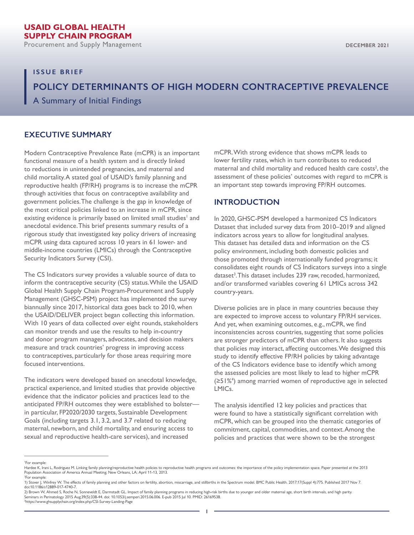Procurement and Supply Management

### **ISSUE BRIEF**

# **POLICY DETERMINANTS OF HIGH MODERN CONTRACEPTIVE PREVALENCE**

A Summary of Initial Findings

# **EXECUTIVE SUMMARY**

Modern Contraceptive Prevalence Rate (mCPR) is an important functional measure of a health system and is directly linked to reductions in unintended pregnancies, and maternal and child mortality. A stated goal of USAID's family planning and reproductive health (FP/RH) programs is to increase the mCPR through activities that focus on contraceptive availability and government policies. The challenge is the gap in knowledge of the most critical policies linked to an increase in mCPR, since existing evidence is primarily based on limited small studies<sup>1</sup> and anecdotal evidence. This brief presents summary results of a rigorous study that investigated key policy drivers of increasing mCPR using data captured across 10 years in 61 lower- and middle-income countries (LMICs) through the Contraceptive Security Indicators Survey (CSI).

The CS Indicators survey provides a valuable source of data to inform the contraceptive security (CS) status. While the USAID Global Health Supply Chain Program-Procurement and Supply Management (GHSC-PSM) project has implemented the survey biannually since 2017, historical data goes back to 2010, when the USAID/DELIVER project began collecting this information. With 10 years of data collected over eight rounds, stakeholders can monitor trends and use the results to help in-country and donor program managers, advocates, and decision makers measure and track countries' progress in improving access to contraceptives, particularly for those areas requiring more focused interventions.

The indicators were developed based on anecdotal knowledge, practical experience, and limited studies that provide objective evidence that the indicator policies and practices lead to the anticipated FP/RH outcomes they were established to bolster in particular, FP2020/2030 targets, Sustainable Development Goals (including targets 3.1, 3.2, and 3.7 related to reducing maternal, newborn, and child mortality, and ensuring access to sexual and reproductive health-care services), and increased

mCPR. With strong evidence that shows mCPR leads to lower fertility rates, which in turn contributes to reduced maternal and child mortality and reduced health care costs<sup>2</sup>, the assessment of these policies' outcomes with regard to mCPR is an important step towards improving FP/RH outcomes.

### **INTRODUCTION**

In 2020, GHSC-PSM developed a harmonized CS Indicators Dataset that included survey data from 2010–2019 and aligned indicators across years to allow for longitudinal analyses. This dataset has detailed data and information on the CS policy environment, including both domestic policies and those promoted through internationally funded programs; it consolidates eight rounds of CS Indicators surveys into a single dataset<sup>3</sup>. This dataset includes 239 raw, recoded, harmonized, and/or transformed variables covering 61 LMICs across 342 country-years.

Diverse policies are in place in many countries because they are expected to improve access to voluntary FP/RH services. And yet, when examining outcomes, e.g., mCPR, we find inconsistencies across countries, suggesting that some policies are stronger predictors of mCPR than others. It also suggests that policies may interact, affecting outcomes. We designed this study to identify effective FP/RH policies by taking advantage of the CS Indicators evidence base to identify which among the assessed policies are most likely to lead to higher mCPR (≥51%<sup>4</sup> ) among married women of reproductive age in selected LMICs.

The analysis identified 12 key policies and practices that were found to have a statistically significant correlation with mCPR, which can be grouped into the thematic categories of commitment, capital, commodities, and context. Among the policies and practices that were shown to be the strongest

<sup>1</sup> For example:

Hardee K, Irani L, Rodriguez M. Linking family planning/reproductive health policies to reproductive health programs and outcomes: the importance of the policy implementation space. Paper presented at the 2013 Population Association of America Annual Meeting; New Orleans, LA; April 11-13, 2013. 2 For example:

<sup>1)</sup> Stover J, Winfrey W. The effects of family planning and other factors on fertility, abortion, miscarriage, and stillbirths in the Spectrum model. BMC Public Health. 2017;17(Suppl 4):775. Published 2017 Nov 7.<br>doi:10.118

<sup>2)</sup> Brown W, Ahmed S, Roche N, Sonneveldt E, Darmstadt GL. Impact of family planning programs in reducing high-risk births due to younger and older maternal age, short birth intervals, and high parity. Seminars in Perinatology 2015 Aug;39(5):338-44. doi: 10.1053/j.semperi.2015.06.006. E-pub 2015 Jul 10. PMID: 26169538.<br><sup>3</sup>https://www.ghsupplychain.org/index.php/CSI-Survey-Landing-Page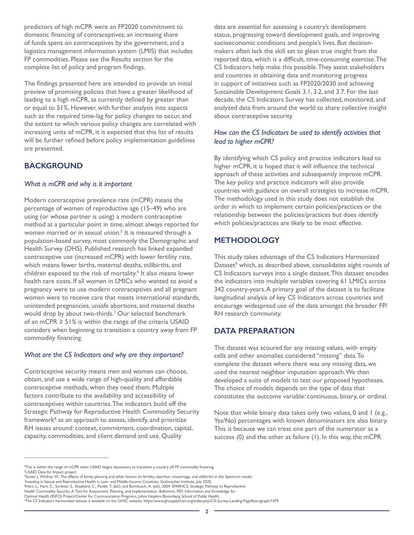predictors of high mCPR were an FP2020 commitment to domestic financing of contraceptives; an increasing share of funds spent on contraceptives by the government; and a logistics management information system (LMIS) that includes FP commodities. Please see the Results section for the complete list of policy and program findings.

The findings presented here are intended to provide an initial preview of promising policies that have a greater likelihood of leading to a high mCPR, as currently defined by greater than or equal to 51%. However, with further analysis into aspects such as the required time-lag for policy changes to occur, and the extent to which various policy changes are correlated with increasing units of mCPR, it is expected that this list of results will be further refined before policy implementation guidelines are presented.

# **BACKGROUND**

### *What is mCPR and why is it important*

Modern contraceptive prevalence rate (mCPR) means the percentage of women of reproductive age (15–49) who are using (or whose partner is using) a modern contraceptive method at a particular point in time, almost always reported for women married or in sexual union.<sup>5</sup> It is measured through a population-based survey, most commonly the Demographic and Health Survey (DHS). Published research has linked expanded contraceptive use (increased mCPR) with lower fertility rate, which means fewer births, maternal deaths, stillbirths, and children exposed to the risk of mortality.<sup>6</sup> It also means lower health care costs. If all women in LMICs who wanted to avoid a pregnancy were to use modern contraceptives and all pregnant women were to receive care that meets international standards, unintended pregnancies, unsafe abortions, and maternal deaths would drop by about two-thirds.7 Our selected benchmark of an mCPR ≥ 51% is within the range of the criteria USAID considers when beginning to transition a country away from FP commodity financing.

## *What are the CS Indicators and why are they important?*

Contraceptive security means men and women can choose, obtain, and use a wide range of high-quality and affordable contraceptive methods, when they need them. Multiple factors contribute to the availability and accessibility of contraceptives within countries. The indicators build off the Strategic Pathway for Reproductive Health Commodity Security framework8 as an approach to assess, identify, and prioritize RH issues around: context, commitment, coordination, capital, capacity, commodities, and client demand and use. Quality

data are essential for assessing a country's development status, progressing toward development goals, and improving socioeconomic conditions and people's lives. But decisionmakers often lack the skill set to glean true insight from the reported data, which is a difficult, time-consuming exercise. The CS Indicators help make this possible. They assist stakeholders and countries in obtaining data and monitoring progress in support of initiatives such as FP2020/2030 and achieving Sustainable Development Goals 3.1, 3.2, and 3.7. For the last decade, the CS Indicators Survey has collected, monitored, and analyzed data from around the world to share collective insight about contraceptive security.

### *How can the CS Indicators be used to identify activities that lead to higher mCPR?*

By identifying which CS policy and practice indicators lead to higher mCPR, it is hoped that it will influence the technical approach of these activities and subsequently improve mCPR. The key policy and practice indicators will also provide countries with guidance on overall strategies to increase mCPR. The methodology used in this study does not establish the order in which to implement certain policies/practices or the relationship between the policies/practices but does identify which policies/practices are likely to be most effective.

# **METHODOLOGY**

This study takes advantage of the CS Indicators Harmonized Dataset<sup>9</sup> which, as described above, consolidates eight rounds of CS Indicators surveys into a single dataset. This dataset encodes the indicators into multiple variables covering 61 LMICs across 342 country-years. A primary goal of the dataset is to facilitate longitudinal analysis of key CS Indicators across countries and encourage widespread use of the data amongst the broader FP/ RH research community.

# **DATA PREPARATION**

The dataset was scoured for any missing values, with empty cells and other anomalies considered "missing" data. To complete the dataset where there was any missing data, we used the nearest neighbor imputation approach. We then developed a suite of models to test our proposed hypotheses. The choice of models depends on the type of data that constitutes the outcome variable: continuous, binary, or ordinal.

Note that while binary data takes only two values, 0 and 1 (e.g., Yes/No) percentages with known denominators are also binary. This is because we can treat one part of the numerator as a success (0) and the other as failure (1). In this way, the mCPR

<sup>4</sup> This is within the range of mCPR when USAID begins discussions to transition a country off FP commodity financing. 5 USAID Data for Impact project

<sup>&</sup>quot;Stover J, Winfrey W., The effects of family planning and other factors on fertility, abortion, miscarriage, and stillbirths in the Spectrum model.<br><sup>7</sup>Investing in Sexual and Reproductive Health in Low- and Middle-Income

<sup>8</sup> Hare, L., Hart, C., Scribner, S., Shepherd, C., Pandit, T. (ed.), and Bornbusch, A. (ed.). 2004. SPARHCS: Strategic Pathway to Reproductive

Health Commodity Security. A Tool for Assessment, Planning, and Implementation. Baltimore, MD: Information and Knowledge for<br>Optimal Health (INFO) Project/Center for Communication Programs, Johns Hopkins Bloomberg School o

<sup>9</sup> The CS Indicators harmonized dataset is available on the GHSC website: https://www.ghsupplychain.org/index.php/CSI-Survey-Landing-Page#paragraph/1479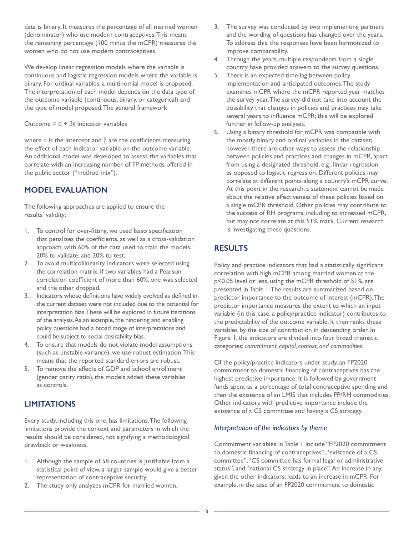data is binary. It measures the percentage of all married women (denominator) who use modern contraceptives. This means the remaining percentage (100 minus the mCPR) measures the women who do not use modern contraceptives.

We develop linear regression models where the variable is continuous and logistic regression models where the variable is binary. For ordinal variables, a multinomial model is proposed. The interpretation of each model depends on the data type of the outcome variable (continuous, binary, or categorical) and the type of model proposed. The general framework

Outcome = α + βx Indicator variables

where  $α$  is the intercept and  $β$  are the coefficients measuring the effect of each indicator variable on the outcome variable. An additional model was developed to assess the variables that correlate with an increasing number of FP methods offered in the public sector ("method mix").

# **MODEL EVALUATION**

The following approaches are applied to ensure the results' validity:

- 1. To control for over-fitting, we used lasso specification that penalizes the coefficients, as well as a cross-validation approach, with 60% of the data used to train the models, 20% to validate, and 20% to test.
- 2. To avoid multicollinearity, indicators were selected using the correlation matrix. If two variables had a Pearson correlation coefficient of more than 60%, one was selected and the other dropped.
- 3. Indicators whose definitions have widely evolved as defined in the current dataset were not included due to the potential for interpretation bias. These will be explored in future iterations of the analysis. As an example, the hindering and enabling policy questions had a broad range of interpretations and could be subject to social desirability bias.
- 4. To ensure that models do not violate model assumptions (such as unstable variance), we use robust estimation. This means that the reported standard errors are robust.
- 5. To remove the effects of GDP and school enrollment (gender parity ratio), the models added these variables as controls.

# **LIMITATIONS**

Every study, including this one, has limitations. The following limitations provide the context and parameters in which the results should be considered, not signifying a methodological drawback or weakness.

- 1. Although the sample of 58 countries is justifiable from a statistical point of view, a larger sample would give a better representation of contraceptive security.
- 2. The study only analyzes mCPR for married women.
- 3. The survey was conducted by two implementing partners and the wording of questions has changed over the years. To address this, the responses have been harmonized to improve comparability.
- 4. Through the years, multiple respondents from a single country have provided answers to the survey questions.
- 5. There is an expected time lag between policy implementation and anticipated outcomes. The study examines mCPR where the mCPR reported year matches the survey year. The survey did not take into account the possibility that changes in policies and practices may take several years to influence mCPR; this will be explored further in follow-up analyses.
- 6. Using a binary threshold for mCPR was compatible with the mostly binary and ordinal variables in the dataset; however, there are other ways to assess the relationship between policies and practices and changes in mCPR, apart from using a designated threshold, e.g., linear regression as opposed to logistic regression. Different policies may correlate at different points along a country's mCPR curve. At this point in the research, a statement cannot be made about the relative effectiveness of these policies based on a single mCPR threshold. Other policies may contribute to the success of RH programs, including to increased mCPR, but may not correlate at this 51% mark. Current research is investigating these questions.

# **RESULTS**

Policy and practice indicators that had a statistically significant correlation with high mCPR among married women at the p<0.05 level or less, using the mCPR threshold of 51%, are presented in Table 1. The results are summarized based on predictor importance to the outcome of interest (mCPR). The predictor importance measures the extent to which an input variable (in this case, a policy/practice indicator) contributes to the predictability of the outcome variable. It then ranks these variables by the size of contribution in descending order. In Figure 1, the indicators are divided into four broad thematic categories: *commitment, capital, context, and commodities.*

Of the policy/practice indicators under study, an FP2020 commitment to domestic financing of contraceptives has the highest predictive importance. It is followed by government funds spent as a percentage of total contraceptive spending and then the existence of an LMIS that includes FP/RH commodities. Other indicators with predictive importance include the existence of a CS committee and having a CS strategy.

### *Interpretation of the indicators by theme*

Commitment variables in Table 1 include "FP2020 commitment to domestic financing of contraceptives", "existence of a CS committee", "CS committee has formal legal or administrative status", and "national CS strategy in place". An increase in any, given the other indicators, leads to an increase in mCPR. For example, in the case of an FP2020 commitment to domestic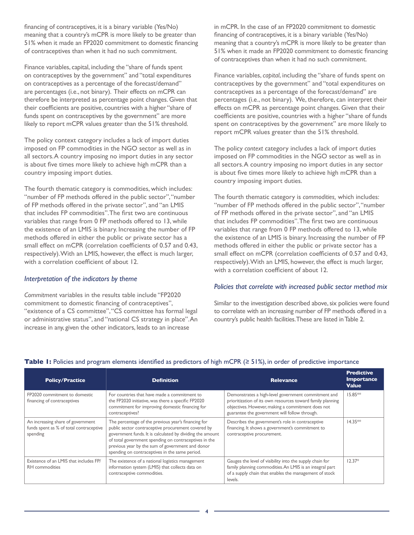financing of contraceptives, it is a binary variable (Yes/No) meaning that a country's mCPR is more likely to be greater than 51% when it made an FP2020 commitment to domestic financing of contraceptives than when it had no such commitment.

Finance variables, capital, including the "share of funds spent on contraceptives by the government" and "total expenditures on contraceptives as a percentage of the forecast/demand" are percentages (i.e., not binary). Their effects on mCPR can therefore be interpreted as percentage point changes. Given that their coefficients are positive, countries with a higher "share of funds spent on contraceptives by the government" are more likely to report mCPR values greater than the 51% threshold.

The policy context category includes a lack of import duties imposed on FP commodities in the NGO sector as well as in all sectors. A country imposing no import duties in any sector is about five times more likely to achieve high mCPR than a country imposing import duties.

The fourth thematic category is commodities, which includes: "number of FP methods offered in the public sector", "number of FP methods offered in the private sector", and "an LMIS that includes FP commodities". The first two are continuous variables that range from 0 FP methods offered to 13, while the existence of an LMIS is binary. Increasing the number of FP methods offered in either the public or private sector has a small effect on mCPR (correlation coefficients of 0.57 and 0.43, respectively). With an LMIS, however, the effect is much larger, with a correlation coefficient of about 12.

#### *Interpretation of the indicators by theme*

*Commitment* variables in the results table include "FP2020 commitment to domestic financing of contraceptives", "existence of a CS committee", "CS committee has formal legal or administrative status", and "national CS strategy in place". An increase in any, given the other indicators, leads to an increase

in mCPR. In the case of an FP2020 commitment to domestic financing of contraceptives, it is a binary variable (Yes/No) meaning that a country's mCPR is more likely to be greater than 51% when it made an FP2020 commitment to domestic financing of contraceptives than when it had no such commitment.

Finance variables, *capital*, including the "share of funds spent on contraceptives by the government" and "total expenditures on contraceptives as a percentage of the forecast/demand" are percentages (i.e., not binary). We, therefore, can interpret their effects on mCPR as percentage point changes. Given that their coefficients are positive, countries with a higher "share of funds spent on contraceptives by the government" are more likely to report mCPR values greater than the 51% threshold.

The policy *context* category includes a lack of import duties imposed on FP commodities in the NGO sector as well as in all sectors. A country imposing no import duties in any sector is about five times more likely to achieve high mCPR than a country imposing import duties.

The fourth thematic category is *commodities,* which includes: "number of FP methods offered in the public sector", "number of FP methods offered in the private sector", and "an LMIS that includes FP commodities". The first two are continuous variables that range from 0 FP methods offered to 13, while the existence of an LMIS is binary. Increasing the number of FP methods offered in either the public or private sector has a small effect on mCPR (correlation coefficients of 0.57 and 0.43, respectively). With an LMIS, however, the effect is much larger, with a correlation coefficient of about 12.

#### *Policies that correlate with increased public sector method mix*

Similar to the investigation described above, six policies were found to correlate with an increasing number of FP methods offered in a country's public health facilities. These are listed in Table 2.

| <b>Policy/Practice</b>                                                                   | <b>Definition</b>                                                                                                                                                                                                                                                                                                                     | <b>Relevance</b>                                                                                                                                                                                                        | <b>Predictive</b><br><b>Importance</b><br><b>Value</b> |
|------------------------------------------------------------------------------------------|---------------------------------------------------------------------------------------------------------------------------------------------------------------------------------------------------------------------------------------------------------------------------------------------------------------------------------------|-------------------------------------------------------------------------------------------------------------------------------------------------------------------------------------------------------------------------|--------------------------------------------------------|
| FP2020 commitment to domestic<br>financing of contraceptives                             | For countries that have made a commitment to<br>the FP2020 initiative, was there a specific FP2020<br>commitment for improving domestic financing for<br>contraceptives?                                                                                                                                                              | Demonstrates a high-level government commitment and<br>prioritization of its own resources toward family planning<br>objectives. However, making a commitment does not<br>guarantee the government will follow through. | $15.85**$                                              |
| An increasing share of government<br>funds spent as % of total contraceptive<br>spending | The percentage of the previous year's financing for<br>public sector contraceptive procurement covered by<br>government funds. It is calculated by dividing the amount<br>of total government spending on contraceptives in the<br>previous year by the sum of government and donor<br>spending on contraceptives in the same period. | Describes the government's role in contraceptive<br>financing. It shows a government's commitment to<br>contraceptive procurement.                                                                                      | $14.35**$                                              |
| Existence of an LMIS that includes FP/<br>RH commodities                                 | The existence of a national logistics management<br>information system (LMIS) that collects data on<br>contraceptive commodities.                                                                                                                                                                                                     | Gauges the level of visibility into the supply chain for<br>family planning commodities. An LMIS is an integral part<br>of a supply chain that enables the management of stock<br>levels.                               | $12.37*$                                               |

### **Table 1:** Policies and program elements identified as predictors of high mCPR (≥ 51%), in order of predictive importance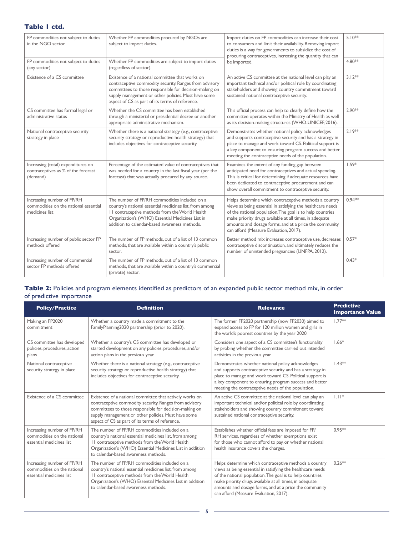## **Table 1 ctd.**

| FP commodities not subject to duties<br>in the NGO sector                             | Whether FP commodities procured by NGOs are<br>subject to import duties.                                                                                                                                                                                                      | Import duties on FP commodities can increase their cost<br>to consumers and limit their availability. Removing import<br>duties is a way for governments to subsidize the cost of<br>procuring contraceptives, increasing the quantity that can<br>be imported.                                                                                  | $5.10^{*}$ |
|---------------------------------------------------------------------------------------|-------------------------------------------------------------------------------------------------------------------------------------------------------------------------------------------------------------------------------------------------------------------------------|--------------------------------------------------------------------------------------------------------------------------------------------------------------------------------------------------------------------------------------------------------------------------------------------------------------------------------------------------|------------|
| FP commodities not subject to duties<br>(any sector)                                  | Whether FP commodities are subject to import duties<br>(regardless of sector).                                                                                                                                                                                                |                                                                                                                                                                                                                                                                                                                                                  | 4.80**     |
| Existence of a CS committee                                                           | Existence of a national committee that works on<br>contraceptive commodity security. Ranges from advisory<br>committees to those responsible for decision-making on<br>supply management or other policies. Must have some<br>aspect of CS as part of its terms of reference. | An active CS committee at the national level can play an<br>important technical and/or political role by coordinating<br>stakeholders and showing country commitment toward<br>sustained national contraceptive security.                                                                                                                        | $3.12***$  |
| CS committee has formal legal or<br>administrative status                             | Whether the CS committee has been established<br>through a ministerial or presidential decree or another<br>appropriate administrative mechanism.                                                                                                                             | This official process can help to clearly define how the<br>committee operates within the Ministry of Health as well<br>as its decision-making structures (WHO-UNICEF, 2016).                                                                                                                                                                    | 2.90**     |
| National contraceptive security<br>strategy in place                                  | Whether there is a national strategy (e.g., contraceptive<br>security strategy or reproductive health strategy) that<br>includes objectives for contraceptive security.                                                                                                       | Demonstrates whether national policy acknowledges<br>and supports contraceptive security and has a strategy in<br>place to manage and work toward CS. Political support is<br>a key component to ensuring program success and better<br>meeting the contraceptive needs of the population.                                                       | $2.19***$  |
| Increasing (total) expenditures on<br>contraceptives as % of the forecast<br>(demand) | Percentage of the estimated value of contraceptives that<br>was needed for a country in the last fiscal year (per the<br>forecast) that was actually procured by any source.                                                                                                  | Examines the extent of any funding gap between<br>anticipated need for contraceptives and actual spending.<br>This is critical for determining if adequate resources have<br>been dedicated to contraceptive procurement and can<br>show overall commitment to contraceptive security.                                                           | $1.59*$    |
| Increasing number of FP/RH<br>commodities on the national essential<br>medicines list | The number of FP/RH commodities included on a<br>country's national essential medicines list, from among<br>II contraceptive methods from the World Health<br>Organization's (WHO) Essential Medicines List in<br>addition to calendar-based awareness methods.               | Helps determine which contraceptive methods a country<br>views as being essential in satisfying the healthcare needs<br>of the national population. The goal is to help countries<br>make priority drugs available at all times, in adequate<br>amounts and dosage forms, and at a price the community<br>can afford (Measure Evaluation, 2017). | $0.94**$   |
| Increasing number of public sector FP<br>methods offered                              | The number of FP methods, out of a list of 13 common<br>methods, that are available within a country's public<br>sector.                                                                                                                                                      | Better method mix increases contraceptive use, decreases<br>contraceptive discontinuation, and ultimately reduces the<br>number of unintended pregnancies (UNFPA, 2012).                                                                                                                                                                         | $0.57*$    |
| Increasing number of commercial<br>sector FP methods offered                          | The number of FP methods, out of a list of 13 common<br>methods, that are available within a country's commercial<br>(private) sector.                                                                                                                                        |                                                                                                                                                                                                                                                                                                                                                  | $0.43*$    |

## Table 2: Policies and program elements identified as predictors of an expanded public sector method mix, in order of predictive importance

| <b>Policy/Practice</b>                                                                | <b>Definition</b>                                                                                                                                                                                                                                                                      | <b>Relevance</b>                                                                                                                                                                                                                                                                                                                                 | <b>Predictive</b><br><b>Importance Value</b> |
|---------------------------------------------------------------------------------------|----------------------------------------------------------------------------------------------------------------------------------------------------------------------------------------------------------------------------------------------------------------------------------------|--------------------------------------------------------------------------------------------------------------------------------------------------------------------------------------------------------------------------------------------------------------------------------------------------------------------------------------------------|----------------------------------------------|
| Making an FP2020<br>commitment                                                        | Whether a country made a commitment to the<br>FamilyPlanning2020 partnership (prior to 2020).                                                                                                                                                                                          | The former FP2020 partnership (now FP2030) aimed to<br>expand access to FP for 120 million women and girls in<br>the world's poorest countries by the year 2020.                                                                                                                                                                                 | $1.77***$                                    |
| CS committee has developed<br>policies, procedures, action<br>plans                   | Whether a country's CS committee has developed or<br>started development on any policies, procedures, and/or<br>action plans in the previous year.                                                                                                                                     | Considers one aspect of a CS committee's functionality<br>by probing whether the committee carried out intended<br>activities in the previous year.                                                                                                                                                                                              | $1.66*$                                      |
| National contraceptive<br>security strategy in place                                  | Whether there is a national strategy (e.g., contraceptive<br>security strategy or reproductive health strategy) that<br>includes objectives for contraceptive security.                                                                                                                | Demonstrates whether national policy acknowledges<br>and supports contraceptive security and has a strategy in<br>place to manage and work toward CS. Political support is<br>a key component to ensuring program success and better<br>meeting the contraceptive needs of the population.                                                       | $1.43**$                                     |
| Existence of a CS committee                                                           | Existence of a national committee that actively works on<br>contraceptive commodity security. Ranges from advisory<br>committees to those responsible for decision-making on<br>supply management or other policies. Must have some<br>aspect of CS as part of its terms of reference. | An active CS committee at the national level can play an<br>important technical and/or political role by coordinating<br>stakeholders and showing country commitment toward<br>sustained national contraceptive security.                                                                                                                        | $1.11*$                                      |
| Increasing number of FP/RH<br>commodities on the national<br>essential medicines list | The number of FP/RH commodities included on a<br>country's national essential medicines list, from among<br>II contraceptive methods from the World Health<br>Organization's (WHO) Essential Medicines List in addition<br>to calendar-based awareness methods.                        | Establishes whether official fees are imposed for FP/<br>RH services, regardless of whether exemptions exist<br>for those who cannot afford to pay, or whether national<br>health insurance covers the charges.                                                                                                                                  | $0.95**$                                     |
| Increasing number of FP/RH<br>commodities on the national<br>essential medicines list | The number of FP/RH commodities included on a<br>country's national essential medicines list, from among<br>II contraceptive methods from the World Health<br>Organization's (WHO) Essential Medicines List in addition<br>to calendar-based awareness methods.                        | Helps determine which contraceptive methods a country<br>views as being essential in satisfying the healthcare needs<br>of the national population. The goal is to help countries<br>make priority drugs available at all times, in adequate<br>amounts and dosage forms, and at a price the community<br>can afford (Measure Evaluation, 2017). | $0.26**$                                     |